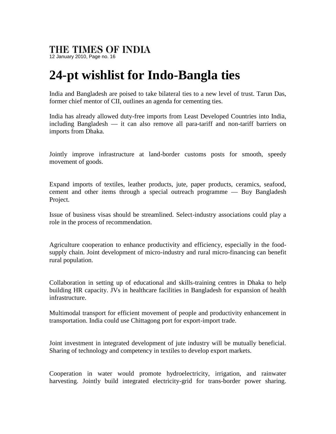## THE TIMES OF INDIA

12 January 2010, Page no. 16

## **24-pt wishlist for Indo-Bangla ties**

India and Bangladesh are poised to take bilateral ties to a new level of trust. Tarun Das, former chief mentor of CII, outlines an agenda for cementing ties.

India has already allowed duty-free imports from Least Developed Countries into India, including Bangladesh — it can also remove all para-tariff and non-tariff barriers on imports from Dhaka.

Jointly improve infrastructure at land-border customs posts for smooth, speedy movement of goods.

Expand imports of textiles, leather products, jute, paper products, ceramics, seafood, cement and other items through a special outreach programme — Buy Bangladesh Project.

Issue of business visas should be streamlined. Select-industry associations could play a role in the process of recommendation.

Agriculture cooperation to enhance productivity and efficiency, especially in the food supply chain. Joint development of micro-industry and rural micro-financing can benefit rural population.

Collaboration in setting up of educational and skills-training centres in Dhaka to help building HR capacity. JVs in healthcare facilities in Bangladesh for expansion of health infrastructure.

Multimodal transport for efficient movement of people and productivity enhancement in transportation. India could use Chittagong port for export-import trade.

Joint investment in integrated development of jute industry will be mutually beneficial. Sharing of technology and competency in textiles to develop export markets.

Cooperation in water would promote hydroelectricity, irrigation, and rainwater harvesting. Jointly build integrated electricity-grid for trans-border power sharing.